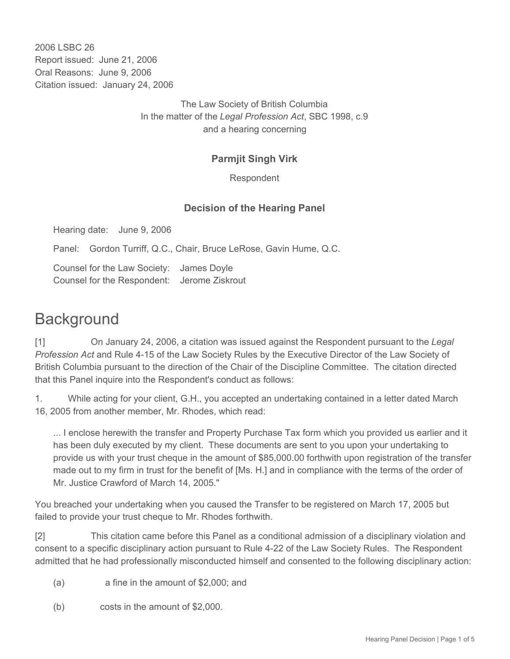2006 LSBC 26 Report issued: June 21, 2006 Oral Reasons: June 9, 2006 Citation issued: January 24, 2006

> The Law Society of British Columbia In the matter of the *Legal Profession Act*, SBC 1998, c.9 and a hearing concerning

## **Parmjit Singh Virk**

Respondent

#### **Decision of the Hearing Panel**

Hearing date: June 9, 2006

Panel: Gordon Turriff, Q.C., Chair, Bruce LeRose, Gavin Hume, Q.C.

Counsel for the Law Society: James Doyle Counsel for the Respondent: Jerome Ziskrout

# **Background**

[1] On January 24, 2006, a citation was issued against the Respondent pursuant to the *Legal Profession Act* and Rule 4-15 of the Law Society Rules by the Executive Director of the Law Society of British Columbia pursuant to the direction of the Chair of the Discipline Committee. The citation directed that this Panel inquire into the Respondent's conduct as follows:

1. While acting for your client, G.H., you accepted an undertaking contained in a letter dated March 16, 2005 from another member, Mr. Rhodes, which read:

... I enclose herewith the transfer and Property Purchase Tax form which you provided us earlier and it has been duly executed by my client. These documents are sent to you upon your undertaking to provide us with your trust cheque in the amount of \$85,000.00 forthwith upon registration of the transfer made out to my firm in trust for the benefit of [Ms. H.] and in compliance with the terms of the order of Mr. Justice Crawford of March 14, 2005."

You breached your undertaking when you caused the Transfer to be registered on March 17, 2005 but failed to provide your trust cheque to Mr. Rhodes forthwith.

[2] This citation came before this Panel as a conditional admission of a disciplinary violation and consent to a specific disciplinary action pursuant to Rule 4-22 of the Law Society Rules. The Respondent admitted that he had professionally misconducted himself and consented to the following disciplinary action:

- (a) a fine in the amount of \$2,000; and
- (b) costs in the amount of \$2,000.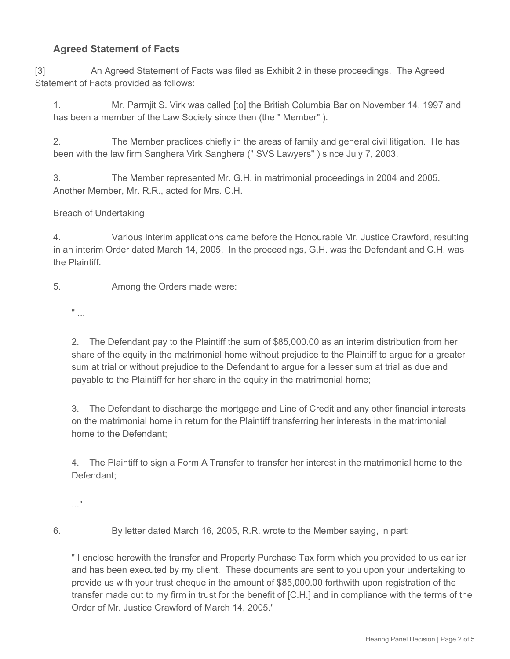## **Agreed Statement of Facts**

[3] An Agreed Statement of Facts was filed as Exhibit 2 in these proceedings. The Agreed Statement of Facts provided as follows:

1. Mr. Parmjit S. Virk was called [to] the British Columbia Bar on November 14, 1997 and has been a member of the Law Society since then (the " Member" ).

2. The Member practices chiefly in the areas of family and general civil litigation. He has been with the law firm Sanghera Virk Sanghera (" SVS Lawyers" ) since July 7, 2003.

3. The Member represented Mr. G.H. in matrimonial proceedings in 2004 and 2005. Another Member, Mr. R.R., acted for Mrs. C.H.

#### Breach of Undertaking

4. Various interim applications came before the Honourable Mr. Justice Crawford, resulting in an interim Order dated March 14, 2005. In the proceedings, G.H. was the Defendant and C.H. was the Plaintiff.

5. Among the Orders made were:

" ...

2. The Defendant pay to the Plaintiff the sum of \$85,000.00 as an interim distribution from her share of the equity in the matrimonial home without prejudice to the Plaintiff to argue for a greater sum at trial or without prejudice to the Defendant to argue for a lesser sum at trial as due and payable to the Plaintiff for her share in the equity in the matrimonial home;

3. The Defendant to discharge the mortgage and Line of Credit and any other financial interests on the matrimonial home in return for the Plaintiff transferring her interests in the matrimonial home to the Defendant;

4. The Plaintiff to sign a Form A Transfer to transfer her interest in the matrimonial home to the Defendant;

- ..."
- 

6. By letter dated March 16, 2005, R.R. wrote to the Member saying, in part:

" I enclose herewith the transfer and Property Purchase Tax form which you provided to us earlier and has been executed by my client. These documents are sent to you upon your undertaking to provide us with your trust cheque in the amount of \$85,000.00 forthwith upon registration of the transfer made out to my firm in trust for the benefit of [C.H.] and in compliance with the terms of the Order of Mr. Justice Crawford of March 14, 2005."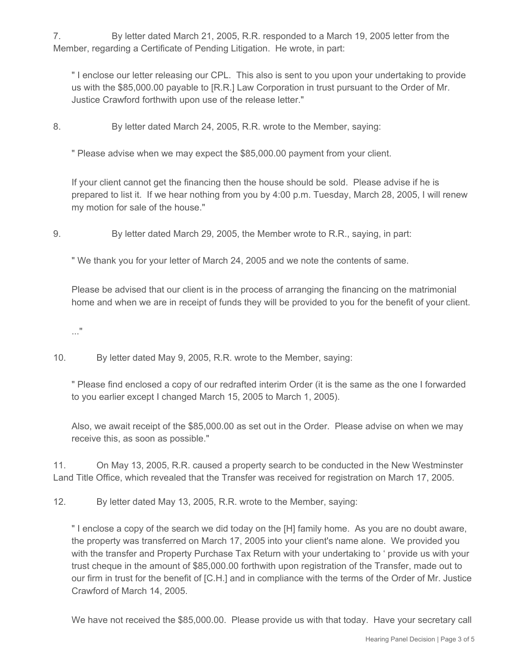7. By letter dated March 21, 2005, R.R. responded to a March 19, 2005 letter from the Member, regarding a Certificate of Pending Litigation. He wrote, in part:

" I enclose our letter releasing our CPL. This also is sent to you upon your undertaking to provide us with the \$85,000.00 payable to [R.R.] Law Corporation in trust pursuant to the Order of Mr. Justice Crawford forthwith upon use of the release letter."

8. By letter dated March 24, 2005, R.R. wrote to the Member, saying:

" Please advise when we may expect the \$85,000.00 payment from your client.

If your client cannot get the financing then the house should be sold. Please advise if he is prepared to list it. If we hear nothing from you by 4:00 p.m. Tuesday, March 28, 2005, I will renew my motion for sale of the house."

9. By letter dated March 29, 2005, the Member wrote to R.R., saying, in part:

" We thank you for your letter of March 24, 2005 and we note the contents of same.

Please be advised that our client is in the process of arranging the financing on the matrimonial home and when we are in receipt of funds they will be provided to you for the benefit of your client.

..."

10. By letter dated May 9, 2005, R.R. wrote to the Member, saying:

" Please find enclosed a copy of our redrafted interim Order (it is the same as the one I forwarded to you earlier except I changed March 15, 2005 to March 1, 2005).

Also, we await receipt of the \$85,000.00 as set out in the Order. Please advise on when we may receive this, as soon as possible."

11. On May 13, 2005, R.R. caused a property search to be conducted in the New Westminster Land Title Office, which revealed that the Transfer was received for registration on March 17, 2005.

12. By letter dated May 13, 2005, R.R. wrote to the Member, saying:

" I enclose a copy of the search we did today on the [H] family home. As you are no doubt aware, the property was transferred on March 17, 2005 into your client's name alone. We provided you with the transfer and Property Purchase Tax Return with your undertaking to ' provide us with your trust cheque in the amount of \$85,000.00 forthwith upon registration of the Transfer, made out to our firm in trust for the benefit of [C.H.] and in compliance with the terms of the Order of Mr. Justice Crawford of March 14, 2005.

We have not received the \$85,000.00. Please provide us with that today. Have your secretary call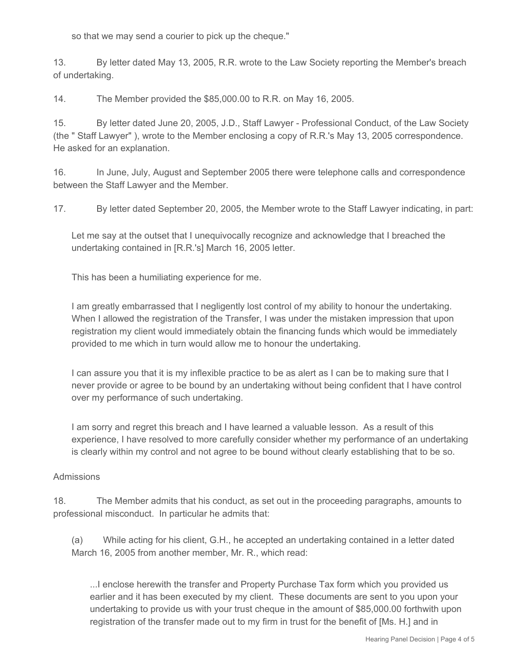so that we may send a courier to pick up the cheque."

13. By letter dated May 13, 2005, R.R. wrote to the Law Society reporting the Member's breach of undertaking.

14. The Member provided the \$85,000.00 to R.R. on May 16, 2005.

15. By letter dated June 20, 2005, J.D., Staff Lawyer - Professional Conduct, of the Law Society (the " Staff Lawyer" ), wrote to the Member enclosing a copy of R.R.'s May 13, 2005 correspondence. He asked for an explanation.

16. In June, July, August and September 2005 there were telephone calls and correspondence between the Staff Lawyer and the Member.

17. By letter dated September 20, 2005, the Member wrote to the Staff Lawyer indicating, in part:

Let me say at the outset that I unequivocally recognize and acknowledge that I breached the undertaking contained in [R.R.'s] March 16, 2005 letter.

This has been a humiliating experience for me.

I am greatly embarrassed that I negligently lost control of my ability to honour the undertaking. When I allowed the registration of the Transfer, I was under the mistaken impression that upon registration my client would immediately obtain the financing funds which would be immediately provided to me which in turn would allow me to honour the undertaking.

I can assure you that it is my inflexible practice to be as alert as I can be to making sure that I never provide or agree to be bound by an undertaking without being confident that I have control over my performance of such undertaking.

I am sorry and regret this breach and I have learned a valuable lesson. As a result of this experience, I have resolved to more carefully consider whether my performance of an undertaking is clearly within my control and not agree to be bound without clearly establishing that to be so.

#### **Admissions**

18. The Member admits that his conduct, as set out in the proceeding paragraphs, amounts to professional misconduct. In particular he admits that:

(a) While acting for his client, G.H., he accepted an undertaking contained in a letter dated March 16, 2005 from another member, Mr. R., which read:

...I enclose herewith the transfer and Property Purchase Tax form which you provided us earlier and it has been executed by my client. These documents are sent to you upon your undertaking to provide us with your trust cheque in the amount of \$85,000.00 forthwith upon registration of the transfer made out to my firm in trust for the benefit of [Ms. H.] and in